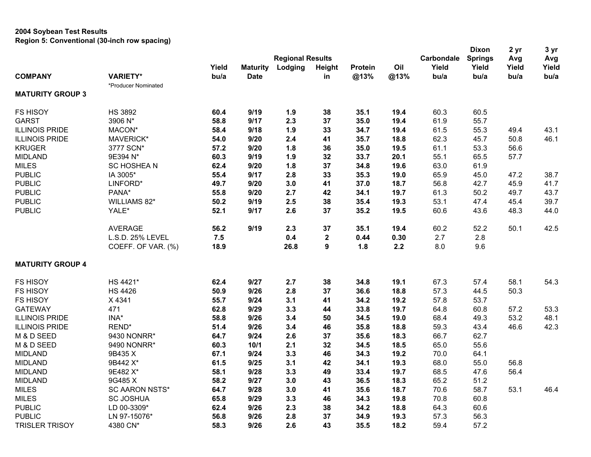## **2004 Soybean Test Results Region 5: Conventional (30-inch row spacing)**

|                         |                       |       |                 |                         |                  |         |      |            | <b>Dixon</b>   | 2 yr  | 3 yr  |
|-------------------------|-----------------------|-------|-----------------|-------------------------|------------------|---------|------|------------|----------------|-------|-------|
|                         |                       |       |                 | <b>Regional Results</b> |                  |         |      | Carbondale | <b>Springs</b> | Avg   | Avg   |
|                         |                       | Yield | <b>Maturity</b> | Lodging                 | Height           | Protein | Oil  | Yield      | Yield          | Yield | Yield |
| <b>COMPANY</b>          | <b>VARIETY*</b>       | bu/a  | <b>Date</b>     |                         | in               | @13%    | @13% | bu/a       | bu/a           | bu/a  | bu/a  |
|                         | *Producer Nominated   |       |                 |                         |                  |         |      |            |                |       |       |
| <b>MATURITY GROUP 3</b> |                       |       |                 |                         |                  |         |      |            |                |       |       |
| <b>FS HISOY</b>         | <b>HS 3892</b>        | 60.4  | 9/19            | 1.9                     | 38               | 35.1    | 19.4 | 60.3       | 60.5           |       |       |
| <b>GARST</b>            | 3906 N*               | 58.8  | 9/17            | 2.3                     | 37               | 35.0    | 19.4 | 61.9       | 55.7           |       |       |
| <b>ILLINOIS PRIDE</b>   | MACON*                | 58.4  | 9/18            | 1.9                     | 33               | 34.7    | 19.4 | 61.5       | 55.3           | 49.4  | 43.1  |
| <b>ILLINOIS PRIDE</b>   | MAVERICK*             | 54.0  | 9/20            | 2.4                     | 41               | 35.7    | 18.8 | 62.3       | 45.7           | 50.8  | 46.1  |
| <b>KRUGER</b>           | 3777 SCN*             | 57.2  | 9/20            | 1.8                     | 36               | 35.0    | 19.5 | 61.1       | 53.3           | 56.6  |       |
| <b>MIDLAND</b>          | 9E394 N*              | 60.3  | 9/19            | 1.9                     | 32               | 33.7    | 20.1 | 55.1       | 65.5           | 57.7  |       |
| <b>MILES</b>            | <b>SC HOSHEAN</b>     | 62.4  | 9/20            | 1.8                     | 37               | 34.8    | 19.6 | 63.0       | 61.9           |       |       |
| <b>PUBLIC</b>           | IA 3005*              | 55.4  | 9/17            | 2.8                     | 33               | 35.3    | 19.0 | 65.9       | 45.0           | 47.2  | 38.7  |
| <b>PUBLIC</b>           | LINFORD*              | 49.7  | 9/20            | 3.0                     | 41               | 37.0    | 18.7 | 56.8       | 42.7           | 45.9  | 41.7  |
| <b>PUBLIC</b>           | PANA*                 | 55.8  | 9/20            | 2.7                     | 42               | 34.1    | 19.7 | 61.3       | 50.2           | 49.7  | 43.7  |
| <b>PUBLIC</b>           | WILLIAMS 82*          | 50.2  | 9/19            | 2.5                     | 38               | 35.4    | 19.3 | 53.1       | 47.4           | 45.4  | 39.7  |
| <b>PUBLIC</b>           | YALE*                 | 52.1  | 9/17            | 2.6                     | 37               | 35.2    | 19.5 | 60.6       | 43.6           | 48.3  | 44.0  |
|                         | <b>AVERAGE</b>        | 56.2  | 9/19            | 2.3                     | 37               | 35.1    | 19.4 | 60.2       | 52.2           | 50.1  | 42.5  |
|                         | L.S.D. 25% LEVEL      | 7.5   |                 | 0.4                     | $\boldsymbol{2}$ | 0.44    | 0.30 | 2.7        | 2.8            |       |       |
|                         | COEFF. OF VAR. (%)    | 18.9  |                 | 26.8                    | 9                | 1.8     | 2.2  | 8.0        | 9.6            |       |       |
| <b>MATURITY GROUP 4</b> |                       |       |                 |                         |                  |         |      |            |                |       |       |
| <b>FS HISOY</b>         | HS 4421*              | 62.4  | 9/27            | 2.7                     | 38               | 34.8    | 19.1 | 67.3       | 57.4           | 58.1  | 54.3  |
| <b>FS HISOY</b>         | <b>HS 4426</b>        | 50.9  | 9/26            | 2.8                     | 37               | 36.6    | 18.8 | 57.3       | 44.5           | 50.3  |       |
| <b>FS HISOY</b>         | X4341                 | 55.7  | 9/24            | 3.1                     | 41               | 34.2    | 19.2 | 57.8       | 53.7           |       |       |
| <b>GATEWAY</b>          | 471                   | 62.8  | 9/29            | 3.3                     | 44               | 33.8    | 19.7 | 64.8       | 60.8           | 57.2  | 53.3  |
| <b>ILLINOIS PRIDE</b>   | INA*                  | 58.8  | 9/26            | 3.4                     | 50               | 34.5    | 19.0 | 68.4       | 49.3           | 53.2  | 48.1  |
| <b>ILLINOIS PRIDE</b>   | REND*                 | 51.4  | 9/26            | 3.4                     | 46               | 35.8    | 18.8 | 59.3       | 43.4           | 46.6  | 42.3  |
| M & D SEED              | 9430 NONRR*           | 64.7  | 9/24            | 2.6                     | 37               | 35.6    | 18.3 | 66.7       | 62.7           |       |       |
| M & D SEED              | 9490 NONRR*           | 60.3  | 10/1            | 2.1                     | 32               | 34.5    | 18.5 | 65.0       | 55.6           |       |       |
| <b>MIDLAND</b>          | 9B435 X               | 67.1  | 9/24            | 3.3                     | 46               | 34.3    | 19.2 | 70.0       | 64.1           |       |       |
| <b>MIDLAND</b>          | 9B442 X*              | 61.5  | 9/25            | 3.1                     | 42               | 34.1    | 19.3 | 68.0       | 55.0           | 56.8  |       |
| <b>MIDLAND</b>          | 9E482 X*              | 58.1  | 9/28            | 3.3                     | 49               | 33.4    | 19.7 | 68.5       | 47.6           | 56.4  |       |
| <b>MIDLAND</b>          | 9G485 X               | 58.2  | 9/27            | 3.0                     | 43               | 36.5    | 18.3 | 65.2       | 51.2           |       |       |
| <b>MILES</b>            | <b>SC AARON NSTS*</b> | 64.7  | 9/28            | 3.0                     | 41               | 35.6    | 18.7 | 70.6       | 58.7           | 53.1  | 46.4  |
| <b>MILES</b>            | <b>SC JOSHUA</b>      | 65.8  | 9/29            | 3.3                     | 46               | 34.3    | 19.8 | 70.8       | 60.8           |       |       |
| <b>PUBLIC</b>           | LD 00-3309*           | 62.4  | 9/26            | 2.3                     | 38               | 34.2    | 18.8 | 64.3       | 60.6           |       |       |
| <b>PUBLIC</b>           | LN 97-15076*          | 56.8  | 9/26            | 2.8                     | 37               | 34.9    | 19.3 | 57.3       | 56.3           |       |       |
| <b>TRISLER TRISOY</b>   | 4380 CN*              | 58.3  | 9/26            | 2.6                     | 43               | 35.5    | 18.2 | 59.4       | 57.2           |       |       |